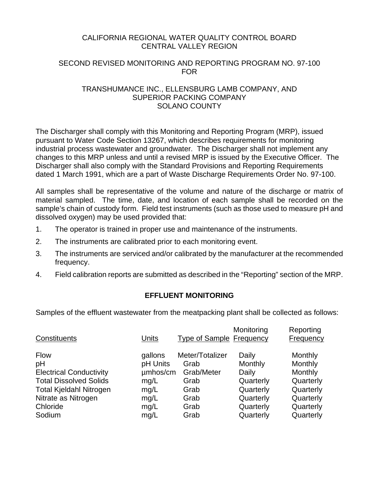## CALIFORNIA REGIONAL WATER QUALITY CONTROL BOARD CENTRAL VALLEY REGION

## SECOND REVISED MONITORING AND REPORTING PROGRAM NO. 97-100 FOR

## TRANSHUMANCE INC., ELLENSBURG LAMB COMPANY, AND SUPERIOR PACKING COMPANY SOLANO COUNTY

The Discharger shall comply with this Monitoring and Reporting Program (MRP), issued pursuant to Water Code Section 13267, which describes requirements for monitoring industrial process wastewater and groundwater. The Discharger shall not implement any changes to this MRP unless and until a revised MRP is issued by the Executive Officer. The Discharger shall also comply with the Standard Provisions and Reporting Requirements dated 1 March 1991, which are a part of Waste Discharge Requirements Order No. 97-100.

All samples shall be representative of the volume and nature of the discharge or matrix of material sampled. The time, date, and location of each sample shall be recorded on the sample's chain of custody form. Field test instruments (such as those used to measure pH and dissolved oxygen) may be used provided that:

- 1. The operator is trained in proper use and maintenance of the instruments.
- 2. The instruments are calibrated prior to each monitoring event.
- 3. The instruments are serviced and/or calibrated by the manufacturer at the recommended frequency.
- 4. Field calibration reports are submitted as described in the "Reporting" section of the MRP.

# **EFFLUENT MONITORING**

Samples of the effluent wastewater from the meatpacking plant shall be collected as follows:

| Constituents                                                                                                                                                        | Units                                                                   | <b>Type of Sample Frequency</b>                                               | Monitoring                                                                                 | Reporting<br>Frequency                                                                         |
|---------------------------------------------------------------------------------------------------------------------------------------------------------------------|-------------------------------------------------------------------------|-------------------------------------------------------------------------------|--------------------------------------------------------------------------------------------|------------------------------------------------------------------------------------------------|
| <b>Flow</b><br>pH<br><b>Electrical Conductivity</b><br><b>Total Dissolved Solids</b><br><b>Total Kjeldahl Nitrogen</b><br>Nitrate as Nitrogen<br>Chloride<br>Sodium | gallons<br>pH Units<br>umhos/cm<br>mg/L<br>mg/L<br>mg/L<br>mg/L<br>mg/L | Meter/Totalizer<br>Grab<br>Grab/Meter<br>Grab<br>Grab<br>Grab<br>Grab<br>Grab | Daily<br>Monthly<br>Daily<br>Quarterly<br>Quarterly<br>Quarterly<br>Quarterly<br>Quarterly | Monthly<br>Monthly<br>Monthly<br>Quarterly<br>Quarterly<br>Quarterly<br>Quarterly<br>Quarterly |
|                                                                                                                                                                     |                                                                         |                                                                               |                                                                                            |                                                                                                |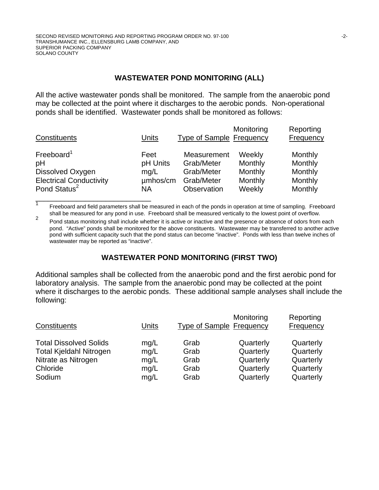\_\_\_\_\_\_\_\_\_\_\_\_\_\_\_\_\_\_\_\_\_\_\_\_\_\_\_\_

## **WASTEWATER POND MONITORING (ALL)**

All the active wastewater ponds shall be monitored. The sample from the anaerobic pond may be collected at the point where it discharges to the aerobic ponds. Non-operational ponds shall be identified. Wastewater ponds shall be monitored as follows:

| Constituents                   | Units    | <b>Type of Sample Frequency</b> | Monitoring | Reporting<br><b>Frequency</b> |
|--------------------------------|----------|---------------------------------|------------|-------------------------------|
| Freeboard <sup>1</sup>         | Feet     | Measurement                     | Weekly     | Monthly                       |
| pH                             | pH Units | Grab/Meter                      | Monthly    | Monthly                       |
| Dissolved Oxygen               | mq/L     | Grab/Meter                      | Monthly    | Monthly                       |
| <b>Electrical Conductivity</b> | umhos/cm | Grab/Meter                      | Monthly    | Monthly                       |
| Pond Status <sup>2</sup>       | NА       | Observation                     | Weekly     | Monthly                       |

T<br>
Freeboard and field parameters shall be measured in each of the ponds in operation at time of sampling. Freeboard shall be measured for any pond in use. Freeboard shall be measured vertically to the lowest point of overflow.

2<br>Pond status monitoring shall include whether it is active or inactive and the presence or absence of odors from each pond. "Active" ponds shall be monitored for the above constituents. Wastewater may be transferred to another active pond with sufficient capacity such that the pond status can become "inactive". Ponds with less than twelve inches of wastewater may be reported as "inactive".

# **WASTEWATER POND MONITORING (FIRST TWO)**

Additional samples shall be collected from the anaerobic pond and the first aerobic pond for laboratory analysis. The sample from the anaerobic pond may be collected at the point where it discharges to the aerobic ponds. These additional sample analyses shall include the following:

| Constituents                   | Units | <b>Type of Sample Frequency</b> | Monitoring | Reporting<br>Frequency |
|--------------------------------|-------|---------------------------------|------------|------------------------|
| <b>Total Dissolved Solids</b>  | mg/L  | Grab                            | Quarterly  | Quarterly              |
| <b>Total Kjeldahl Nitrogen</b> | mg/L  | Grab                            | Quarterly  | Quarterly              |
| Nitrate as Nitrogen            | mg/L  | Grab                            | Quarterly  | Quarterly              |
| Chloride                       | mg/L  | Grab                            | Quarterly  | Quarterly              |
| Sodium                         | mg/L  | Grab                            | Quarterly  | Quarterly              |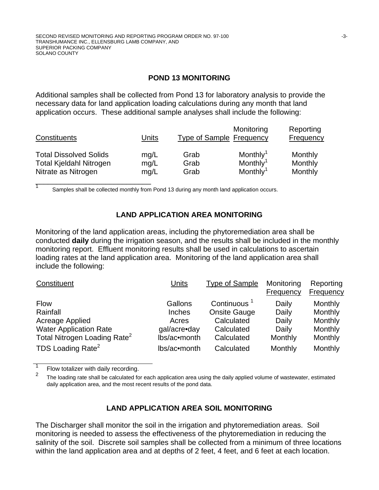## **POND 13 MONITORING**

Additional samples shall be collected from Pond 13 for laboratory analysis to provide the necessary data for land application loading calculations during any month that land application occurs. These additional sample analyses shall include the following:

| Constituents                   | Units | Monitoring<br><b>Type of Sample Frequency</b> |                      | Reporting<br><b>Frequency</b> |  |
|--------------------------------|-------|-----------------------------------------------|----------------------|-------------------------------|--|
| <b>Total Dissolved Solids</b>  | mg/L  | Grab                                          | Monthly <sup>1</sup> | Monthly                       |  |
| <b>Total Kjeldahl Nitrogen</b> | mg/L  | Grab                                          | Monthly <sup>1</sup> | Monthly                       |  |
| Nitrate as Nitrogen            | mq/L  | Grab                                          | Monthly <sup>1</sup> | Monthly                       |  |

Samples shall be collected monthly from Pond 13 during any month land application occurs.

# **LAND APPLICATION AREA MONITORING**

Monitoring of the land application areas, including the phytoremediation area shall be conducted **daily** during the irrigation season, and the results shall be included in the monthly monitoring report. Effluent monitoring results shall be used in calculations to ascertain loading rates at the land application area. Monitoring of the land application area shall include the following:

| Constituent                              | Units        | <b>Type of Sample</b>   | Monitoring<br>Frequency | Reporting<br><b>Frequency</b> |
|------------------------------------------|--------------|-------------------------|-------------------------|-------------------------------|
| <b>Flow</b>                              | Gallons      | Continuous <sup>1</sup> | Daily                   | Monthly                       |
| Rainfall                                 | Inches       | <b>Onsite Gauge</b>     | Daily                   | Monthly                       |
| Acreage Applied                          | Acres        | Calculated              | Daily                   | Monthly                       |
| <b>Water Application Rate</b>            | gal/acre•day | Calculated              | Daily                   | Monthly                       |
| Total Nitrogen Loading Rate <sup>2</sup> | lbs/ac•month | Calculated              | Monthly                 | Monthly                       |
| TDS Loading Rate <sup>2</sup>            | lbs/ac•month | Calculated              | Monthly                 | Monthly                       |

1  $\frac{1}{2}$  Flow totalizer with daily recording.

1

The loading rate shall be calculated for each application area using the daily applied volume of wastewater, estimated daily application area, and the most recent results of the pond data.

# **LAND APPLICATION AREA SOIL MONITORING**

The Discharger shall monitor the soil in the irrigation and phytoremediation areas. Soil monitoring is needed to assess the effectiveness of the phytoremediation in reducing the salinity of the soil. Discrete soil samples shall be collected from a minimum of three locations within the land application area and at depths of 2 feet, 4 feet, and 6 feet at each location.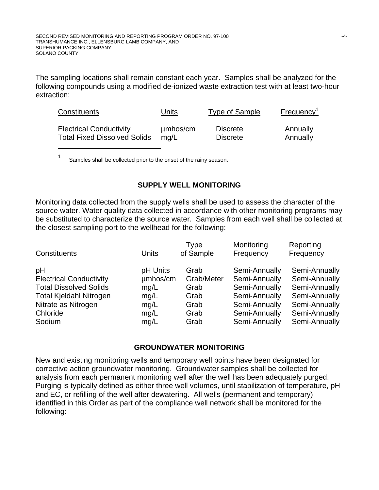The sampling locations shall remain constant each year. Samples shall be analyzed for the following compounds using a modified de-ionized waste extraction test with at least two-hour extraction:

| Constituents                        | Units    | Type of Sample  | Frequency <sup>1</sup> |
|-------------------------------------|----------|-----------------|------------------------|
| <b>Electrical Conductivity</b>      | µmbos/cm | <b>Discrete</b> | Annually               |
| <b>Total Fixed Dissolved Solids</b> | ma/L     | <b>Discrete</b> | Annually               |

<sup>1</sup> Samples shall be collected prior to the onset of the rainy season.

## **SUPPLY WELL MONITORING**

Monitoring data collected from the supply wells shall be used to assess the character of the source water. Water quality data collected in accordance with other monitoring programs may be substituted to characterize the source water. Samples from each well shall be collected at the closest sampling port to the wellhead for the following:

| Constituents                   | Units    | <b>Type</b><br>of Sample | Monitoring<br>Frequency | Reporting<br>Frequency |
|--------------------------------|----------|--------------------------|-------------------------|------------------------|
| pH                             | pH Units | Grab                     | Semi-Annually           | Semi-Annually          |
| <b>Electrical Conductivity</b> | umhos/cm | Grab/Meter               | Semi-Annually           | Semi-Annually          |
| <b>Total Dissolved Solids</b>  | mg/L     | Grab                     | Semi-Annually           | Semi-Annually          |
| <b>Total Kjeldahl Nitrogen</b> | mq/L     | Grab                     | Semi-Annually           | Semi-Annually          |
| Nitrate as Nitrogen            | mg/L     | Grab                     | Semi-Annually           | Semi-Annually          |
| Chloride                       | mg/L     | Grab                     | Semi-Annually           | Semi-Annually          |
| Sodium                         | mg/L     | Grab                     | Semi-Annually           | Semi-Annually          |

#### **GROUNDWATER MONITORING**

New and existing monitoring wells and temporary well points have been designated for corrective action groundwater monitoring. Groundwater samples shall be collected for analysis from each permanent monitoring well after the well has been adequately purged. Purging is typically defined as either three well volumes, until stabilization of temperature, pH and EC, or refilling of the well after dewatering. All wells (permanent and temporary) identified in this Order as part of the compliance well network shall be monitored for the following: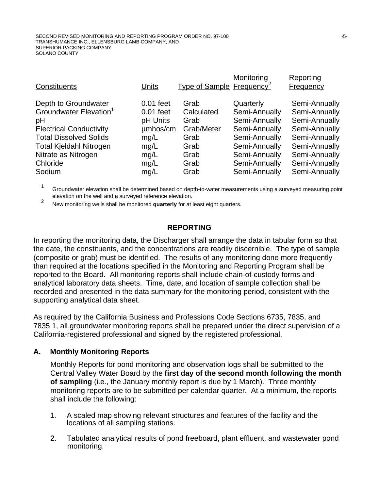| Depth to Groundwater<br>$0.01$ feet<br>Semi-Annually<br>Quarterly<br>Grab<br>Groundwater Elevation <sup>1</sup><br>Semi-Annually<br>Semi-Annually<br>$0.01$ feet<br>Calculated<br>Semi-Annually<br>Semi-Annually<br>pH Units<br>pH<br>Grab<br>umhos/cm<br>Semi-Annually<br>Grab/Meter<br>Semi-Annually<br><b>Electrical Conductivity</b><br><b>Total Dissolved Solids</b><br>Semi-Annually<br>Semi-Annually<br>mg/L<br>Grab<br>Semi-Annually<br><b>Total Kjeldahl Nitrogen</b><br>Semi-Annually<br>Grab<br>mg/L<br>Nitrate as Nitrogen<br>Semi-Annually<br>Semi-Annually<br>Grab<br>mg/L<br>Semi-Annually<br>Semi-Annually<br>Chloride<br>Grab<br>mg/L<br>Semi-Annually<br>Semi-Annually<br>Sodium<br>Grab<br>mg/L | Constituents | Units | Type of Sample Frequency | Monitoring | Reporting<br>Frequency |
|--------------------------------------------------------------------------------------------------------------------------------------------------------------------------------------------------------------------------------------------------------------------------------------------------------------------------------------------------------------------------------------------------------------------------------------------------------------------------------------------------------------------------------------------------------------------------------------------------------------------------------------------------------------------------------------------------------------------|--------------|-------|--------------------------|------------|------------------------|
|                                                                                                                                                                                                                                                                                                                                                                                                                                                                                                                                                                                                                                                                                                                    |              |       |                          |            |                        |

<sup>1</sup> Groundwater elevation shall be determined based on depth-to-water measurements using a surveyed measuring point elevation on the well and a surveyed reference elevation.

<sup>2</sup> New monitoring wells shall be monitored **quarterly** for at least eight quarters.

#### **REPORTING**

In reporting the monitoring data, the Discharger shall arrange the data in tabular form so that the date, the constituents, and the concentrations are readily discernible. The type of sample (composite or grab) must be identified. The results of any monitoring done more frequently than required at the locations specified in the Monitoring and Reporting Program shall be reported to the Board. All monitoring reports shall include chain-of-custody forms and analytical laboratory data sheets. Time, date, and location of sample collection shall be recorded and presented in the data summary for the monitoring period, consistent with the supporting analytical data sheet.

As required by the California Business and Professions Code Sections 6735, 7835, and 7835.1, all groundwater monitoring reports shall be prepared under the direct supervision of a California-registered professional and signed by the registered professional.

#### **A. Monthly Monitoring Reports**

Monthly Reports for pond monitoring and observation logs shall be submitted to the Central Valley Water Board by the **first day of the second month following the month of sampling** (i.e., the January monthly report is due by 1 March).Three monthly monitoring reports are to be submitted per calendar quarter. At a minimum, the reports shall include the following:

- 1. A scaled map showing relevant structures and features of the facility and the locations of all sampling stations.
- 2. Tabulated analytical results of pond freeboard, plant effluent, and wastewater pond monitoring.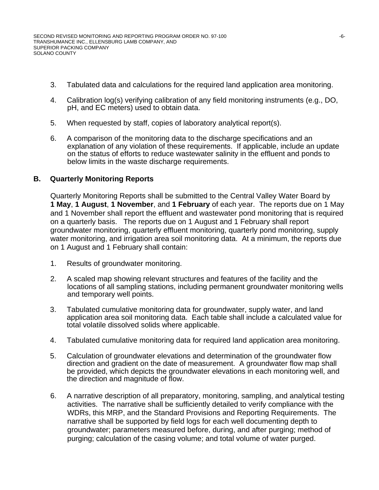- 3. Tabulated data and calculations for the required land application area monitoring.
- 4. Calibration log(s) verifying calibration of any field monitoring instruments (e.g., DO, pH, and EC meters) used to obtain data.
- 5. When requested by staff, copies of laboratory analytical report(s).
- 6. A comparison of the monitoring data to the discharge specifications and an explanation of any violation of these requirements. If applicable, include an update on the status of efforts to reduce wastewater salinity in the effluent and ponds to below limits in the waste discharge requirements.

## **B. Quarterly Monitoring Reports**

Quarterly Monitoring Reports shall be submitted to the Central Valley Water Board by **1 May**, **1 August**, **1 November**, and **1 February** of each year. The reports due on 1 May and 1 November shall report the effluent and wastewater pond monitoring that is required on a quarterly basis. The reports due on 1 August and 1 February shall report groundwater monitoring, quarterly effluent monitoring, quarterly pond monitoring, supply water monitoring, and irrigation area soil monitoring data. At a minimum, the reports due on 1 August and 1 February shall contain:

- 1. Results of groundwater monitoring.
- 2. A scaled map showing relevant structures and features of the facility and the locations of all sampling stations, including permanent groundwater monitoring wells and temporary well points.
- 3. Tabulated cumulative monitoring data for groundwater, supply water, and land application area soil monitoring data. Each table shall include a calculated value for total volatile dissolved solids where applicable.
- 4. Tabulated cumulative monitoring data for required land application area monitoring.
- 5. Calculation of groundwater elevations and determination of the groundwater flow direction and gradient on the date of measurement. A groundwater flow map shall be provided, which depicts the groundwater elevations in each monitoring well, and the direction and magnitude of flow.
- 6. A narrative description of all preparatory, monitoring, sampling, and analytical testing activities. The narrative shall be sufficiently detailed to verify compliance with the WDRs, this MRP, and the Standard Provisions and Reporting Requirements. The narrative shall be supported by field logs for each well documenting depth to groundwater; parameters measured before, during, and after purging; method of purging; calculation of the casing volume; and total volume of water purged.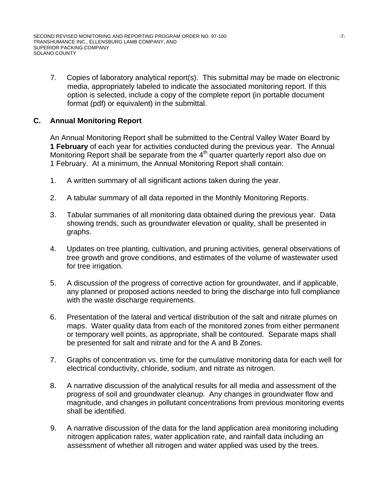7. Copies of laboratory analytical report(s). This submittal may be made on electronic media, appropriately labeled to indicate the associated monitoring report. If this option is selected, include a copy of the complete report (in portable document format (pdf) or equivalent) in the submittal.

## **C. Annual Monitoring Report**

An Annual Monitoring Report shall be submitted to the Central Valley Water Board by **1 February** of each year for activities conducted during the previous year. The Annual Monitoring Report shall be separate from the  $4<sup>th</sup>$  quarter quarterly report also due on 1 February. At a minimum, the Annual Monitoring Report shall contain:

- 1. A written summary of all significant actions taken during the year.
- 2. A tabular summary of all data reported in the Monthly Monitoring Reports.
- 3. Tabular summaries of all monitoring data obtained during the previous year. Data showing trends, such as groundwater elevation or quality, shall be presented in graphs.
- 4. Updates on tree planting, cultivation, and pruning activities, general observations of tree growth and grove conditions, and estimates of the volume of wastewater used for tree irrigation.
- 5. A discussion of the progress of corrective action for groundwater, and if applicable, any planned or proposed actions needed to bring the discharge into full compliance with the waste discharge requirements.
- 6. Presentation of the lateral and vertical distribution of the salt and nitrate plumes on maps. Water quality data from each of the monitored zones from either permanent or temporary well points, as appropriate, shall be contoured. Separate maps shall be presented for salt and nitrate and for the A and B Zones.
- 7. Graphs of concentration vs. time for the cumulative monitoring data for each well for electrical conductivity, chloride, sodium, and nitrate as nitrogen.
- 8. A narrative discussion of the analytical results for all media and assessment of the progress of soil and groundwater cleanup. Any changes in groundwater flow and magnitude, and changes in pollutant concentrations from previous monitoring events shall be identified.
- 9. A narrative discussion of the data for the land application area monitoring including nitrogen application rates, water application rate, and rainfall data including an assessment of whether all nitrogen and water applied was used by the trees.